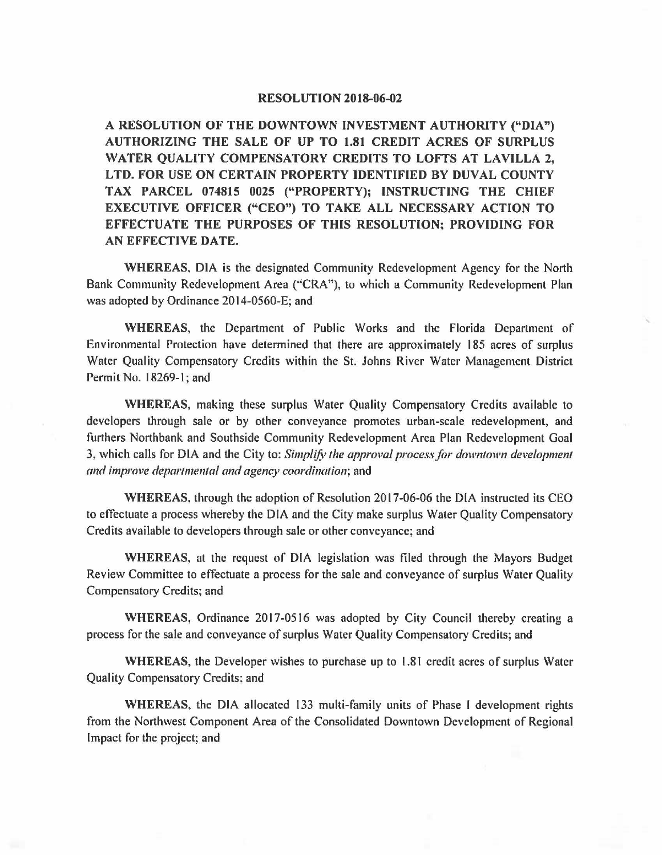## **RESOLUTION 2018-06-02**

**A RESOLUTION OF THE DOWNTOWN INVESTMENT AUTHORITY ("DIA") AUTHORIZING THE SALE OF UP TO 1.81 CREDIT ACRES OF SURPLUS WATER QUALITY COMPENSATORY CREDITS TO LOTTS AT LAVILLA 2, LTD. FOR USE ON CERTAIN PROPERTY IDENTIFIED BY DUVAL COUNTY TAX PARCEL 074815 0025 ("PROPERTY); INSTRUCTING THE CHIEF EXECUTIVE OFFICER ("CEO") TO TAKE ALL NECESSARY ACTION TO EFFECTUATE THE PURPOSES OF THIS RESOLUTION; PROVIDING FOR AN EFFECTIVE DATE.** 

**WHEREAS,** DIA is the designated Community Redevelopment Agency for the North Bank Community Redevelopment Area (''CRA"), to which a Community Redevelopment Plan was adopted by Ordinance 2014-0560-E; and

**WHEREAS,** the Department of Public Works and the Florida Department of Environmental Protection have determined that there are approximately 185 acres of surplus Water Quality Compensatory Credits within the St. Johns River Water Management District Permit No. 18269-1; and

'

**WHEREAS,** making these surplus Water Quality Compensatory Credits available to developers through sale or by other conveyance promotes urban-scale redevelopment, and furthers Northbank and Southside Community Redevelopment Area Plan Redevelopment Goal 3, which calls for DIA and the City to: *Simplify the approval process for downtown development and improve departmental and agency coordination;* and

**WHEREAS,** through the adoption of Resolution 2017-06-06 the DIA instructed its CEO to effectuate a process whereby the DIA and the City make surplus Water Quality Compensatory Credits available to developers through sale or other conveyance; and

**WHEREAS,** at the request of DIA legislation was filed through the Mayors Budget Review Committee to effectuate a process for the sale and conveyance of surplus Water Quality Compensatory Credits; and

**WHEREAS,** Ordinance 2017-0516 was adopted by City Council thereby creating a process for the sale and conveyance of surplus Water Quality Compensatory Credits; and

**WHEREAS,** the Developer wishes to purchase up to 1.81 credit acres of surplus Water Quality Compensatory Credits: and

**WHEREAS,** the DIA allocated 133 multi-family units of Phase I development rights from the Northwest Component Area of the Consolidated Downtown Development of Regional Impact for the project; and